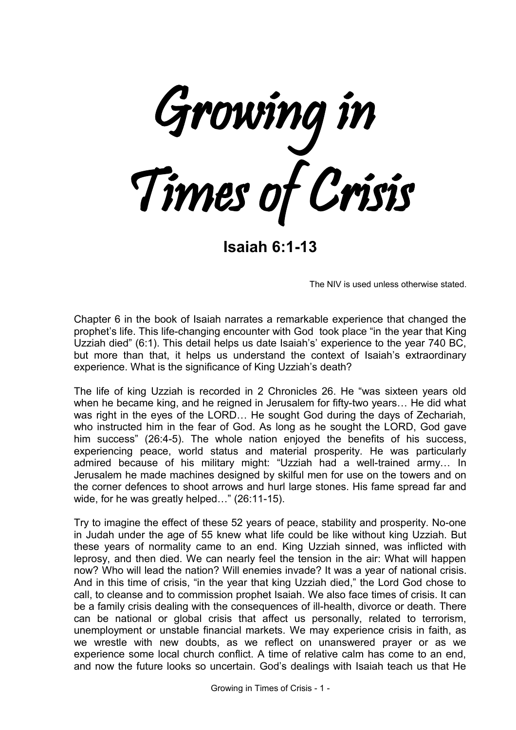Growing in Times of Crisis

**Isaiah 6:1-13**

The NIV is used unless otherwise stated.

Chapter 6 in the book of Isaiah narrates a remarkable experience that changed the prophet's life. This life-changing encounter with God took place "in the year that King Uzziah died" (6:1). This detail helps us date Isaiah's' experience to the year 740 BC, but more than that, it helps us understand the context of Isaiah's extraordinary experience. What is the significance of King Uzziah's death?

The life of king Uzziah is recorded in 2 Chronicles 26. He "was sixteen years old when he became king, and he reigned in Jerusalem for fifty-two years… He did what was right in the eyes of the LORD… He sought God during the days of Zechariah, who instructed him in the fear of God. As long as he sought the LORD, God gave him success" (26:4-5). The whole nation enjoyed the benefits of his success, experiencing peace, world status and material prosperity. He was particularly admired because of his military might: "Uzziah had a well-trained army… In Jerusalem he made machines designed by skilful men for use on the towers and on the corner defences to shoot arrows and hurl large stones. His fame spread far and wide, for he was greatly helped…" (26:11-15).

Try to imagine the effect of these 52 years of peace, stability and prosperity. No-one in Judah under the age of 55 knew what life could be like without king Uzziah. But these years of normality came to an end. King Uzziah sinned, was inflicted with leprosy, and then died. We can nearly feel the tension in the air: What will happen now? Who will lead the nation? Will enemies invade? It was a year of national crisis. And in this time of crisis, "in the year that king Uzziah died," the Lord God chose to call, to cleanse and to commission prophet Isaiah. We also face times of crisis. It can be a family crisis dealing with the consequences of ill-health, divorce or death. There can be national or global crisis that affect us personally, related to terrorism, unemployment or unstable financial markets. We may experience crisis in faith, as we wrestle with new doubts, as we reflect on unanswered prayer or as we experience some local church conflict. A time of relative calm has come to an end, and now the future looks so uncertain. God's dealings with Isaiah teach us that He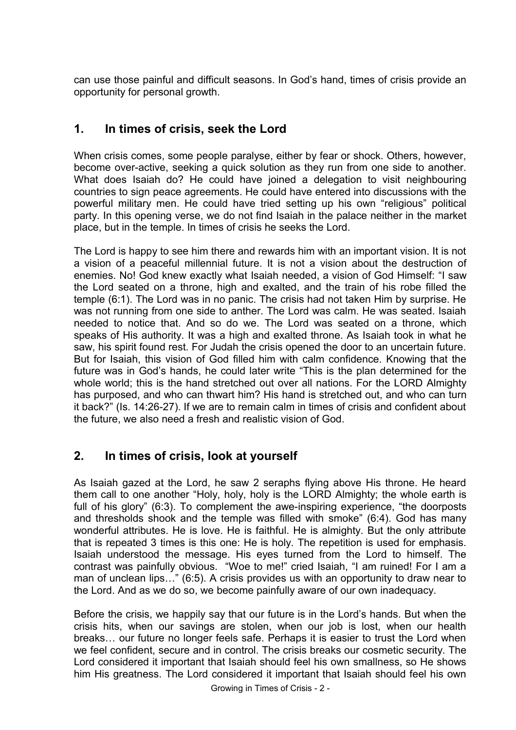can use those painful and difficult seasons. In God's hand, times of crisis provide an opportunity for personal growth.

### **1. In times of crisis, seek the Lord**

When crisis comes, some people paralyse, either by fear or shock. Others, however, become over-active, seeking a quick solution as they run from one side to another. What does Isaiah do? He could have joined a delegation to visit neighbouring countries to sign peace agreements. He could have entered into discussions with the powerful military men. He could have tried setting up his own "religious" political party. In this opening verse, we do not find Isaiah in the palace neither in the market place, but in the temple. In times of crisis he seeks the Lord.

The Lord is happy to see him there and rewards him with an important vision. It is not a vision of a peaceful millennial future. It is not a vision about the destruction of enemies. No! God knew exactly what Isaiah needed, a vision of God Himself: "I saw the Lord seated on a throne, high and exalted, and the train of his robe filled the temple (6:1). The Lord was in no panic. The crisis had not taken Him by surprise. He was not running from one side to anther. The Lord was calm. He was seated. Isaiah needed to notice that. And so do we. The Lord was seated on a throne, which speaks of His authority. It was a high and exalted throne. As Isaiah took in what he saw, his spirit found rest. For Judah the crisis opened the door to an uncertain future. But for Isaiah, this vision of God filled him with calm confidence. Knowing that the future was in God's hands, he could later write "This is the plan determined for the whole world; this is the hand stretched out over all nations. For the LORD Almighty has purposed, and who can thwart him? His hand is stretched out, and who can turn it back?" (Is. 14:26-27). If we are to remain calm in times of crisis and confident about the future, we also need a fresh and realistic vision of God.

#### **2. In times of crisis, look at yourself**

As Isaiah gazed at the Lord, he saw 2 seraphs flying above His throne. He heard them call to one another "Holy, holy, holy is the LORD Almighty; the whole earth is full of his glory" (6:3). To complement the awe-inspiring experience, "the doorposts and thresholds shook and the temple was filled with smoke" (6:4). God has many wonderful attributes. He is love. He is faithful. He is almighty. But the only attribute that is repeated 3 times is this one: He is holy. The repetition is used for emphasis. Isaiah understood the message. His eyes turned from the Lord to himself. The contrast was painfully obvious. "Woe to me!" cried Isaiah, "I am ruined! For I am a man of unclean lips…" (6:5). A crisis provides us with an opportunity to draw near to the Lord. And as we do so, we become painfully aware of our own inadequacy.

Before the crisis, we happily say that our future is in the Lord's hands. But when the crisis hits, when our savings are stolen, when our job is lost, when our health breaks… our future no longer feels safe. Perhaps it is easier to trust the Lord when we feel confident, secure and in control. The crisis breaks our cosmetic security. The Lord considered it important that Isaiah should feel his own smallness, so He shows him His greatness. The Lord considered it important that Isaiah should feel his own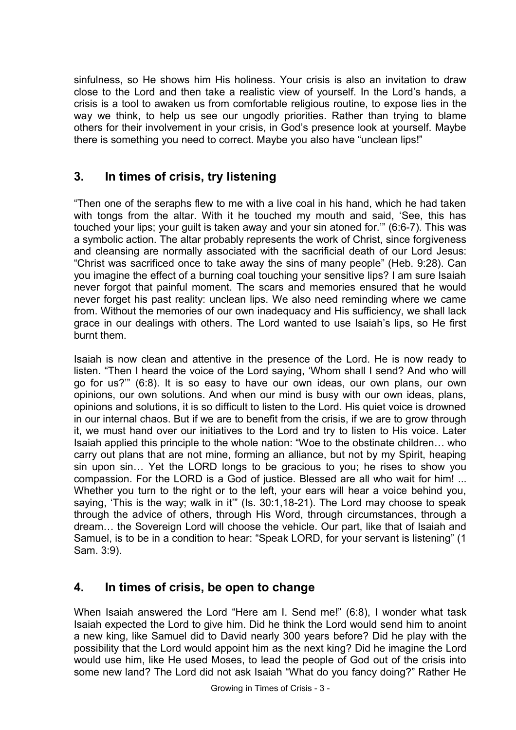sinfulness, so He shows him His holiness. Your crisis is also an invitation to draw close to the Lord and then take a realistic view of yourself. In the Lord's hands, a crisis is a tool to awaken us from comfortable religious routine, to expose lies in the way we think, to help us see our ungodly priorities. Rather than trying to blame others for their involvement in your crisis, in God's presence look at yourself. Maybe there is something you need to correct. Maybe you also have "unclean lips!"

# **3. In times of crisis, try listening**

"Then one of the seraphs flew to me with a live coal in his hand, which he had taken with tongs from the altar. With it he touched my mouth and said, 'See, this has touched your lips; your guilt is taken away and your sin atoned for.'" (6:6-7). This was a symbolic action. The altar probably represents the work of Christ, since forgiveness and cleansing are normally associated with the sacrificial death of our Lord Jesus: "Christ was sacrificed once to take away the sins of many people" (Heb. 9:28). Can you imagine the effect of a burning coal touching your sensitive lips? I am sure Isaiah never forgot that painful moment. The scars and memories ensured that he would never forget his past reality: unclean lips. We also need reminding where we came from. Without the memories of our own inadequacy and His sufficiency, we shall lack grace in our dealings with others. The Lord wanted to use Isaiah's lips, so He first burnt them.

Isaiah is now clean and attentive in the presence of the Lord. He is now ready to listen. "Then I heard the voice of the Lord saying, 'Whom shall I send? And who will go for us?'" (6:8). It is so easy to have our own ideas, our own plans, our own opinions, our own solutions. And when our mind is busy with our own ideas, plans, opinions and solutions, it is so difficult to listen to the Lord. His quiet voice is drowned in our internal chaos. But if we are to benefit from the crisis, if we are to grow through it, we must hand over our initiatives to the Lord and try to listen to His voice. Later Isaiah applied this principle to the whole nation: "Woe to the obstinate children… who carry out plans that are not mine, forming an alliance, but not by my Spirit, heaping sin upon sin… Yet the LORD longs to be gracious to you; he rises to show you compassion. For the LORD is a God of justice. Blessed are all who wait for him! ... Whether you turn to the right or to the left, your ears will hear a voice behind you, saying, 'This is the way; walk in it" (Is. 30:1, 18-21). The Lord may choose to speak through the advice of others, through His Word, through circumstances, through a dream… the Sovereign Lord will choose the vehicle. Our part, like that of Isaiah and Samuel, is to be in a condition to hear: "Speak LORD, for your servant is listening" (1 Sam. 3:9).

## **4. In times of crisis, be open to change**

When Isaiah answered the Lord "Here am I. Send me!" (6:8), I wonder what task Isaiah expected the Lord to give him. Did he think the Lord would send him to anoint a new king, like Samuel did to David nearly 300 years before? Did he play with the possibility that the Lord would appoint him as the next king? Did he imagine the Lord would use him, like He used Moses, to lead the people of God out of the crisis into some new land? The Lord did not ask Isaiah "What do you fancy doing?" Rather He